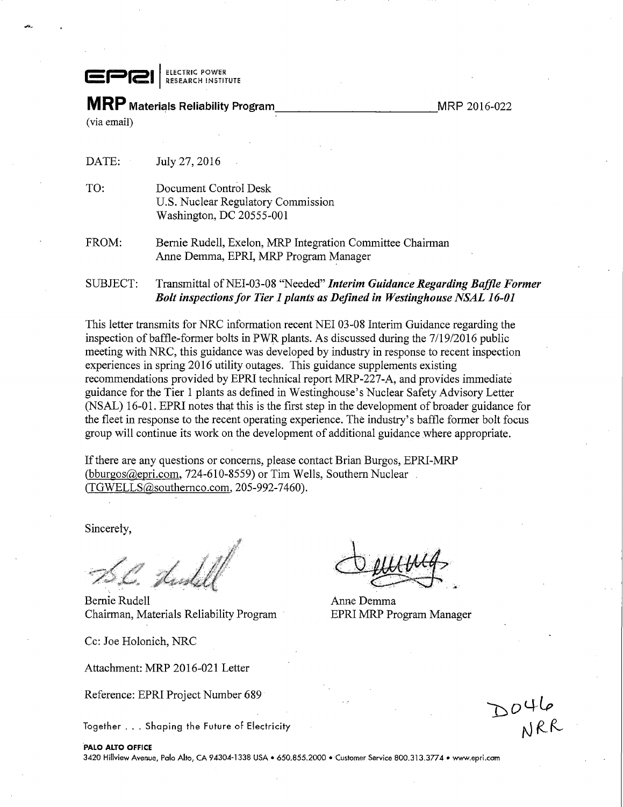**ELECTRIC POWER**<br>| RESEARCH INSTITUTE

**MRP** Materials Reliability Program

MRP 2016-022

(via email)

DATE: July 27, 2016

- TO: Document Control Desk U.S. Nuclear Regulatory Commission Washington, DC 20555-001
- FROM: Bernie Rudell, Exelon, MRP Integration Committee Chairman Anne Demma, EPRI, MRP Program Manager
- SUBJECT: Transmittal of NEI-03-08 "Needed" *Interim Guidance Regarding Baffle Former Bolt inspections for Tier 1 plants as Defined in Westinghouse NSAL 16-01*

This letter transmits for NRC information recent NEI 03-08 Interim Guidance regarding the inspection of baffle-former bolts in PWR plants. As discussed during the 7/19/2016 public meeting with NRC, this guidance was developed by industry in response to recent inspection experiences in spring 2016 utility outages. This guidance supplements existing recommendations provided by EPRI technical report MRP-227-A, and provides immediate guidance for the Tier 1 plants as defined in Westinghouse's Nuclear Safety Advisory Letter (NSAL) 16-01. EPRI notes that this is the first step in the development of broader guidance for the fleet in response to the recent operating experience. The industry's baffle former bolt focus group will continue its work on the development of additional guidance where appropriate.

If there are any questions or concerns, please contact Brian Burgos, EPRI-MRP (bburgos@epri.com, 724-610-8559) or Tim Wells, Southern Nuclear (TGWELLS@southernco.com, 205-992-7460).

Sincerely,

Tind S

Bernie Rudell **Anne** Demma Chairman, Materials Reliability Program EPRI MRP Program Manager

Cc: Joe Holonich, NRC

Attachment: MRP 2016-021 Letter

Reference: EPRI Project Number 689

Together ... Shaping the Future of Electricity

DO46<br>ARR

## PALO ALTO OFFICE

3420 Hillview Avenue, Polo Alto, CA 94304-1338 USA• 650.855.2000 •Customer Service 800.313.3774 • www.epri.com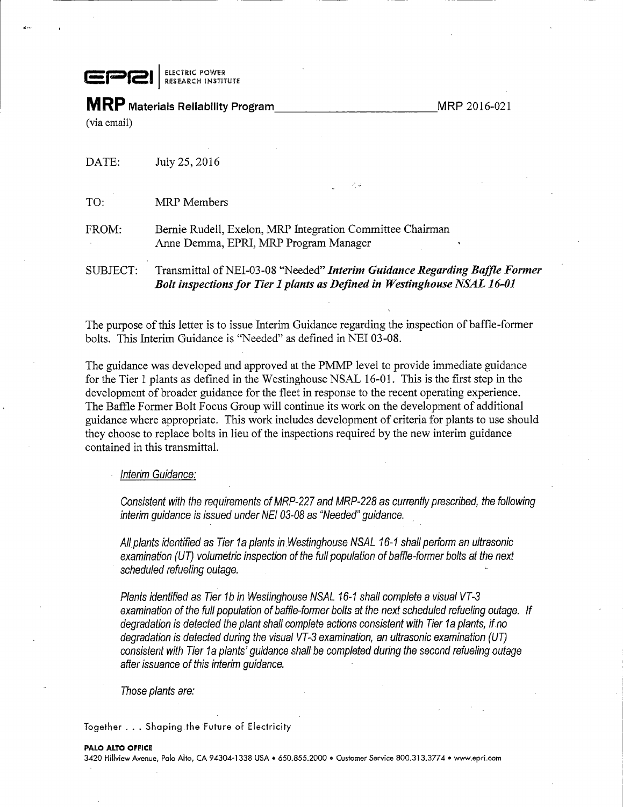EPRI<sup>ELECTRIC POWER</sup>

**MRP** Materials Reliability Program \_\_\_\_\_\_\_\_\_\_\_\_\_\_\_\_\_\_\_\_\_\_\_\_\_\_\_\_\_\_MRP 2016-021 (via email)

| SUBJECT: | Transmittal of NEI-03-08 "Needed" Interim Guidance Regarding Baffle Former<br>Bolt inspections for Tier 1 plants as Defined in Westinghouse NSAL 16-01 |
|----------|--------------------------------------------------------------------------------------------------------------------------------------------------------|
| FROM:    | Bernie Rudell, Exelon, MRP Integration Committee Chairman<br>Anne Demma, EPRI, MRP Program Manager                                                     |
| TO:      | - 254<br><b>MRP</b> Members                                                                                                                            |
| DATE:    | July 25, 2016                                                                                                                                          |

The purpose of this letter is to issue Interim Guidance regarding the inspection of baffle-former bolts. This Interim Guidance is "Needed" as defined in NEI 03-08.

The guidance was developed and approved at the PMMP level to provide immediate guidance for the Tier 1 plants as defined in the Westinghouse NSAL 16-01. This is the first step in the development of broader guidance for the fleet in response to the recent operating experience. The Baffle Former Bolt Focus Group will continue its work on the development of additional guidance where appropriate. This work includes development of criteria for plants to use should they choose to replace bolts in lieu of the inspections required by the new interim guidance contained in this transmittal.

Interim Guidance:

Consistent with the requirements of MRP-227 and MRP-228 as currently prescribed, the following interim guidance is issued under NE/ 03-08 as "Needed" guidance. .

All plants identified as Tier 1 a plants in Westinghouse NSAL 16-1 shall perform an ultrasonic examination (UT) volumetric inspection of the full population of baffle-former bolts at the next scheduled refueling outage.

Plants identified as Tier 1b in Westinghouse NSAL 16-1 shall complete a visual VT-3 examination of the full population of baffle-former bolts at the next scheduled refueling outage. If degradation is detected the plant shall complete actions consistent with Tier 1a plants, if no degradation is detected during the visual VT-3 examination, an ultrasonic examination (UT) consistent with Tier 1a plants' guidance shall be completed during the second refueling outage after issuance of this interim guidance.

Those plants are:

Together ... Shaping the Future of Electricity

3420 Hillview Avenue, Palo Alto, CA 94304-1338 USA • 650.855.2000 • Customer Service 800.313.377 4 • www.epri.com